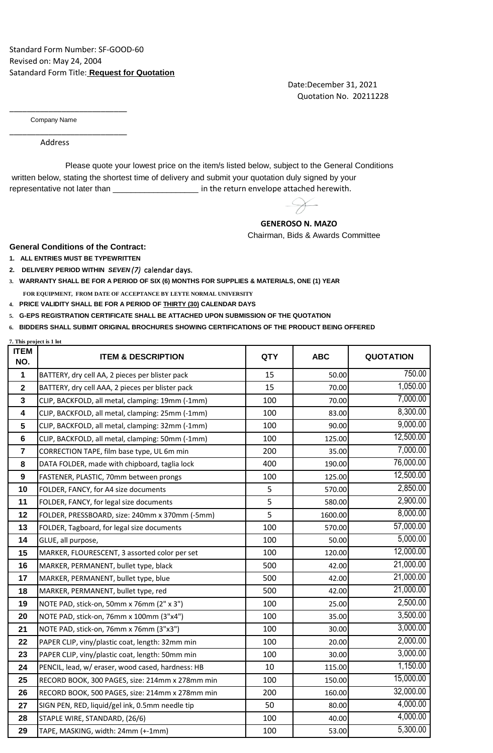Date:December 31, 2021 Quotation No. 20211228

Company Name

\_\_\_\_\_\_\_\_\_\_\_\_\_\_\_\_\_\_\_\_\_\_\_\_\_\_\_

\_\_\_\_\_\_\_\_\_\_\_\_\_\_\_\_\_\_\_\_\_\_\_\_\_\_\_

Address

 written below, stating the shortest time of delivery and submit your quotation duly signed by your representative not later than \_\_\_\_\_\_\_\_\_\_\_\_\_\_\_\_\_\_\_\_\_\_\_ in the return envelope attached herewith. Please quote your lowest price on the item/s listed below, subject to the General Conditions

 **GENEROSO N. MAZO**

Chairman, Bids & Awards Committee

**General Conditions of the Contract:**

**1. ALL ENTRIES MUST BE TYPEWRITTEN**

**7. This project is 1 lot**

- **2. DELIVERY PERIOD WITHIN** *SEVEN (7)* calendar days.
- **3. WARRANTY SHALL BE FOR A PERIOD OF SIX (6) MONTHS FOR SUPPLIES & MATERIALS, ONE (1) YEAR FOR EQUIPMENT, FROM DATE OF ACCEPTANCE BY LEYTE NORMAL UNIVERSITY**
- **4. PRICE VALIDITY SHALL BE FOR A PERIOD OF THIRTY (30) CALENDAR DAYS**
- **5. G-EPS REGISTRATION CERTIFICATE SHALL BE ATTACHED UPON SUBMISSION OF THE QUOTATION**
- **6. BIDDERS SHALL SUBMIT ORIGINAL BROCHURES SHOWING CERTIFICATIONS OF THE PRODUCT BEING OFFERED**

| <b>ITEM</b><br>NO. | <b>ITEM &amp; DESCRIPTION</b>                     | <b>QTY</b> | <b>ABC</b> | <b>QUOTATION</b> |
|--------------------|---------------------------------------------------|------------|------------|------------------|
| 1                  | BATTERY, dry cell AA, 2 pieces per blister pack   | 15         | 50.00      | 750.00           |
| $\mathbf{2}$       | BATTERY, dry cell AAA, 2 pieces per blister pack  | 15         | 70.00      | 1,050.00         |
| $\mathbf{3}$       | CLIP, BACKFOLD, all metal, clamping: 19mm (-1mm)  | 100        | 70.00      | 7,000.00         |
| 4                  | CLIP, BACKFOLD, all metal, clamping: 25mm (-1mm)  | 100        | 83.00      | 8,300.00         |
| 5                  | CLIP, BACKFOLD, all metal, clamping: 32mm (-1mm)  | 100        | 90.00      | 9,000.00         |
| $6\phantom{1}$     | CLIP, BACKFOLD, all metal, clamping: 50mm (-1mm)  | 100        | 125.00     | 12,500.00        |
| $\overline{7}$     | CORRECTION TAPE, film base type, UL 6m min        | 200        | 35.00      | 7,000.00         |
| 8                  | DATA FOLDER, made with chipboard, taglia lock     | 400        | 190.00     | 76,000.00        |
| 9                  | FASTENER, PLASTIC, 70mm between prongs            | 100        | 125.00     | 12,500.00        |
| 10                 | FOLDER, FANCY, for A4 size documents              | 5          | 570.00     | 2,850.00         |
| 11                 | FOLDER, FANCY, for legal size documents           | 5          | 580.00     | 2,900.00         |
| 12                 | FOLDER, PRESSBOARD, size: 240mm x 370mm (-5mm)    | 5          | 1600.00    | 8,000.00         |
| 13                 | FOLDER, Tagboard, for legal size documents        | 100        | 570.00     | 57,000.00        |
| 14                 | GLUE, all purpose,                                | 100        | 50.00      | 5,000.00         |
| 15                 | MARKER, FLOURESCENT, 3 assorted color per set     | 100        | 120.00     | 12,000.00        |
| 16                 | MARKER, PERMANENT, bullet type, black             | 500        | 42.00      | 21,000.00        |
| 17                 | MARKER, PERMANENT, bullet type, blue              | 500        | 42.00      | 21,000.00        |
| 18                 | MARKER, PERMANENT, bullet type, red               | 500        | 42.00      | 21,000.00        |
| 19                 | NOTE PAD, stick-on, 50mm x 76mm (2" x 3")         | 100        | 25.00      | 2,500.00         |
| 20                 | NOTE PAD, stick-on, 76mm x 100mm (3"x4")          | 100        | 35.00      | 3,500.00         |
| 21                 | NOTE PAD, stick-on, 76mm x 76mm (3"x3")           | 100        | 30.00      | 3,000.00         |
| 22                 | PAPER CLIP, viny/plastic coat, length: 32mm min   | 100        | 20.00      | 2,000.00         |
| 23                 | PAPER CLIP, viny/plastic coat, length: 50mm min   | 100        | 30.00      | 3,000.00         |
| 24                 | PENCIL, lead, w/ eraser, wood cased, hardness: HB | 10         | 115.00     | 1,150.00         |
| 25                 | RECORD BOOK, 300 PAGES, size: 214mm x 278mm min   | 100        | 150.00     | 15,000.00        |
| 26                 | RECORD BOOK, 500 PAGES, size: 214mm x 278mm min   | 200        | 160.00     | 32,000.00        |
| 27                 | SIGN PEN, RED, liquid/gel ink, 0.5mm needle tip   | 50         | 80.00      | 4,000.00         |
| 28                 | STAPLE WIRE, STANDARD, (26/6)                     | 100        | 40.00      | 4,000.00         |
| 29                 | TAPE, MASKING, width: 24mm (+-1mm)                | 100        | 53.00      | 5,300.00         |